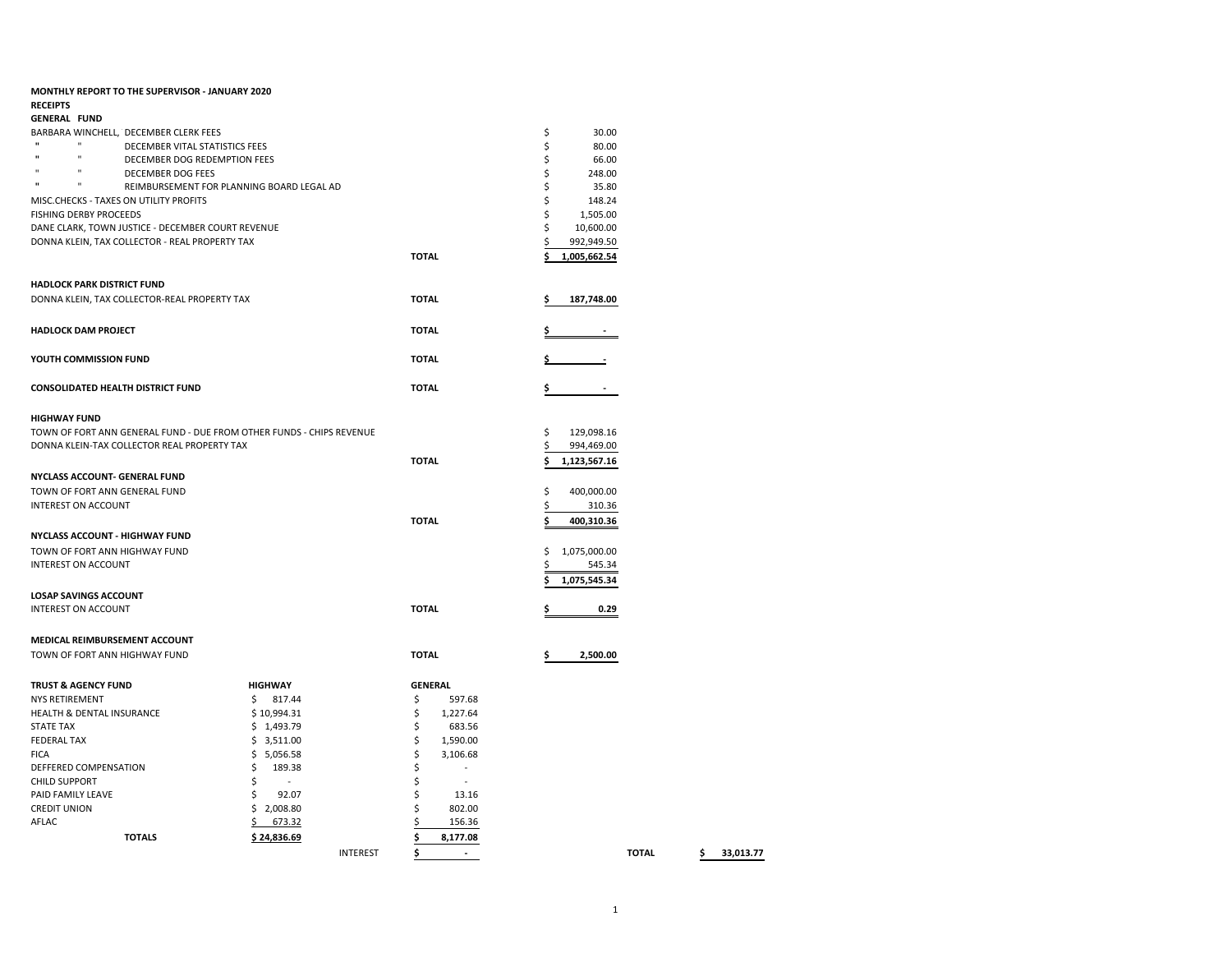| <b>MONTHLY REPORT TO THE SUPERVISOR - JANUARY 2020</b>                       |                                           |                 |                |                    |
|------------------------------------------------------------------------------|-------------------------------------------|-----------------|----------------|--------------------|
| <b>RECEIPTS</b>                                                              |                                           |                 |                |                    |
| <b>GENERAL FUND</b>                                                          |                                           |                 |                |                    |
| BARBARA WINCHELL, DECEMBER CLERK FEES<br>$\mathbf{u}$                        |                                           |                 |                | \$<br>30.00        |
| DECEMBER VITAL STATISTICS FEES<br>$\mathbf{u}$                               |                                           |                 |                | \$<br>80.00        |
| $\mathbf{u}$<br>DECEMBER DOG REDEMPTION FEES<br>$\mathbf{u}$<br>$\mathbf{u}$ |                                           |                 |                | \$<br>66.00        |
| <b>DECEMBER DOG FEES</b><br>$\mathbf{u}$                                     |                                           |                 |                | \$<br>248.00       |
| $\mathbf{u}$                                                                 | REIMBURSEMENT FOR PLANNING BOARD LEGAL AD |                 |                | \$<br>35.80        |
| MISC.CHECKS - TAXES ON UTILITY PROFITS                                       |                                           |                 |                | Ś<br>148.24        |
| <b>FISHING DERBY PROCEEDS</b>                                                |                                           |                 |                | \$<br>1,505.00     |
| DANE CLARK, TOWN JUSTICE - DECEMBER COURT REVENUE                            |                                           |                 |                | \$<br>10,600.00    |
| DONNA KLEIN, TAX COLLECTOR - REAL PROPERTY TAX                               |                                           |                 |                | \$<br>992,949.50   |
|                                                                              |                                           |                 | <b>TOTAL</b>   | 1,005,662.54       |
| HADLOCK PARK DISTRICT FUND                                                   |                                           |                 |                |                    |
| DONNA KLEIN, TAX COLLECTOR-REAL PROPERTY TAX                                 |                                           |                 | <b>TOTAL</b>   | 187,748.00<br>S    |
|                                                                              |                                           |                 |                |                    |
| HADLOCK DAM PROJECT                                                          |                                           |                 | <b>TOTAL</b>   |                    |
| YOUTH COMMISSION FUND                                                        |                                           |                 | <b>TOTAL</b>   |                    |
| CONSOLIDATED HEALTH DISTRICT FUND                                            |                                           |                 | <b>TOTAL</b>   | \$                 |
|                                                                              |                                           |                 |                |                    |
| <b>HIGHWAY FUND</b>                                                          |                                           |                 |                |                    |
| TOWN OF FORT ANN GENERAL FUND - DUE FROM OTHER FUNDS - CHIPS REVENUE         |                                           |                 |                | \$<br>129,098.16   |
| DONNA KLEIN-TAX COLLECTOR REAL PROPERTY TAX                                  |                                           |                 |                | \$<br>994,469.00   |
|                                                                              |                                           |                 | <b>TOTAL</b>   | \$<br>1,123,567.16 |
| NYCLASS ACCOUNT- GENERAL FUND                                                |                                           |                 |                |                    |
| TOWN OF FORT ANN GENERAL FUND                                                |                                           |                 |                | \$<br>400,000.00   |
| <b>INTEREST ON ACCOUNT</b>                                                   |                                           |                 |                | \$<br>310.36       |
|                                                                              |                                           |                 | <b>TOTAL</b>   | \$<br>400,310.36   |
| NYCLASS ACCOUNT - HIGHWAY FUND                                               |                                           |                 |                |                    |
|                                                                              |                                           |                 |                |                    |
| TOWN OF FORT ANN HIGHWAY FUND                                                |                                           |                 |                | 1,075,000.00<br>\$ |
| <b>INTEREST ON ACCOUNT</b>                                                   |                                           |                 |                | \$<br>545.34       |
| LOSAP SAVINGS ACCOUNT                                                        |                                           |                 |                | 1,075,545.34       |
| <b>INTEREST ON ACCOUNT</b>                                                   |                                           |                 | <b>TOTAL</b>   | 0.29<br>\$         |
|                                                                              |                                           |                 |                |                    |
| MEDICAL REIMBURSEMENT ACCOUNT                                                |                                           |                 |                |                    |
| TOWN OF FORT ANN HIGHWAY FUND                                                |                                           |                 | <b>TOTAL</b>   | 2,500.00<br>\$     |
| TRUST & AGENCY FUND                                                          | <b>HIGHWAY</b>                            |                 | <b>GENERAL</b> |                    |
| NYS RETIREMENT                                                               | 817.44<br>Ŝ.                              |                 | \$<br>597.68   |                    |
| HEALTH & DENTAL INSURANCE                                                    | \$10,994.31                               |                 | \$<br>1,227.64 |                    |
| STATE TAX                                                                    | \$1,493.79                                |                 | \$<br>683.56   |                    |
| FEDERAL TAX                                                                  | \$3,511.00                                |                 | \$<br>1,590.00 |                    |
| FICA                                                                         | \$5,056.58                                |                 | \$<br>3,106.68 |                    |
| DEFFERED COMPENSATION                                                        | \$<br>189.38                              |                 | \$<br>٠        |                    |
| <b>CHILD SUPPORT</b>                                                         | \$<br>$\sim$                              |                 | \$             |                    |
| PAID FAMILY LEAVE                                                            | Ś<br>92.07                                |                 | \$<br>13.16    |                    |
| CREDIT UNION                                                                 | \$2,008.80                                |                 | \$<br>802.00   |                    |
| AFLAC                                                                        | \$673.32                                  |                 | 156.36         |                    |
| <b>TOTALS</b>                                                                | \$24,836.69                               |                 | \$<br>8,177.08 |                    |
|                                                                              |                                           | <b>INTEREST</b> | \$             | <b>TOTAL</b>       |
|                                                                              |                                           |                 |                |                    |

INTEREST **\$ - TOTAL \$ 33,013.77**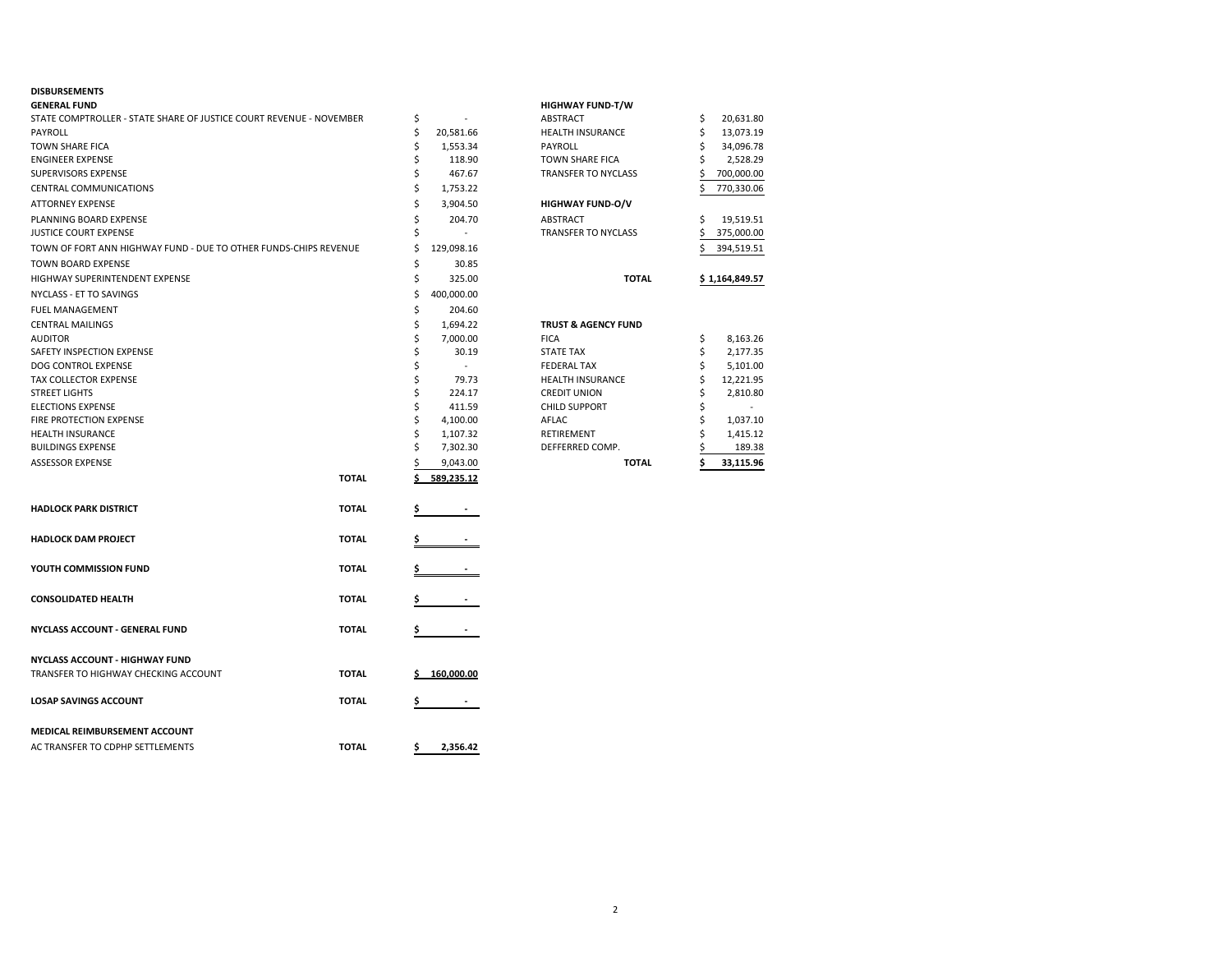### **DISBURSEMENTS**

| <b>GENERAL FUND</b>                                                 |              |    |            | <b>HIGHWAY FUND-T/W</b>        |    |                |
|---------------------------------------------------------------------|--------------|----|------------|--------------------------------|----|----------------|
| STATE COMPTROLLER - STATE SHARE OF JUSTICE COURT REVENUE - NOVEMBER |              | \$ |            | ABSTRACT                       | \$ | 20,631.80      |
| PAYROLL                                                             |              | \$ | 20,581.66  | <b>HEALTH INSURANCE</b>        | \$ | 13,073.19      |
| <b>TOWN SHARE FICA</b>                                              |              | Ś  | 1,553.34   | <b>PAYROLL</b>                 | Ś  | 34,096.78      |
| <b>ENGINEER EXPENSE</b>                                             |              | \$ | 118.90     | TOWN SHARE FICA                |    | 2,528.29       |
| <b>SUPERVISORS EXPENSE</b>                                          |              | Ś  | 467.67     | <b>TRANSFER TO NYCLASS</b>     |    | 700,000.00     |
| CENTRAL COMMUNICATIONS                                              |              | \$ | 1,753.22   |                                | Ś  | 770,330.06     |
| <b>ATTORNEY EXPENSE</b>                                             |              | \$ | 3,904.50   | <b>HIGHWAY FUND-O/V</b>        |    |                |
| PLANNING BOARD EXPENSE                                              |              | \$ | 204.70     | ABSTRACT                       | \$ | 19,519.51      |
| <b>JUSTICE COURT EXPENSE</b>                                        |              |    | $\omega$   | TRANSFER TO NYCLASS            | \$ | 375,000.00     |
| TOWN OF FORT ANN HIGHWAY FUND - DUE TO OTHER FUNDS-CHIPS REVENUE    |              | \$ | 129,098.16 |                                | S  | 394,519.51     |
| <b>TOWN BOARD EXPENSE</b>                                           |              | \$ | 30.85      |                                |    |                |
| HIGHWAY SUPERINTENDENT EXPENSE                                      |              | \$ | 325.00     | <b>TOTAL</b>                   |    | \$1,164,849.57 |
| NYCLASS - ET TO SAVINGS                                             |              | Ś  | 400,000.00 |                                |    |                |
| <b>FUEL MANAGEMENT</b>                                              |              | \$ | 204.60     |                                |    |                |
| <b>CENTRAL MAILINGS</b>                                             |              | \$ | 1,694.22   | <b>TRUST &amp; AGENCY FUND</b> |    |                |
| <b>AUDITOR</b>                                                      |              | Ś  | 7,000.00   | <b>FICA</b>                    | \$ | 8,163.26       |
| SAFETY INSPECTION EXPENSE                                           |              | \$ | 30.19      | <b>STATE TAX</b>               | \$ | 2,177.35       |
| DOG CONTROL EXPENSE                                                 |              | Ś  | $\sim$     | <b>FEDERAL TAX</b>             | Ś  | 5,101.00       |
| TAX COLLECTOR EXPENSE                                               |              | Ś  | 79.73      | <b>HEALTH INSURANCE</b>        | \$ | 12,221.95      |
| <b>STREET LIGHTS</b>                                                |              | Ś  | 224.17     | <b>CREDIT UNION</b>            | Ś  | 2,810.80       |
| <b>ELECTIONS EXPENSE</b>                                            |              | Ś  | 411.59     | <b>CHILD SUPPORT</b>           | Ś  |                |
| <b>FIRE PROTECTION EXPENSE</b>                                      |              | Ś  | 4,100.00   | AFLAC                          | Ś  | 1,037.10       |
| <b>HEALTH INSURANCE</b>                                             |              | \$ | 1,107.32   | RETIREMENT                     |    | 1,415.12       |
| <b>BUILDINGS EXPENSE</b>                                            |              | Ś  | 7,302.30   | DEFFERRED COMP.                |    | 189.38         |
| <b>ASSESSOR EXPENSE</b>                                             |              |    | 9,043.00   | <b>TOTAL</b>                   |    | 33,115.96      |
|                                                                     | <b>TOTAL</b> |    | 589,235.12 |                                |    |                |
| <b>HADLOCK PARK DISTRICT</b>                                        | <b>TOTAL</b> | \$ |            |                                |    |                |
|                                                                     |              |    |            |                                |    |                |
| <b>HADLOCK DAM PROJECT</b>                                          | <b>TOTAL</b> | \$ |            |                                |    |                |
| YOUTH COMMISSION FUND                                               | <b>TOTAL</b> |    |            |                                |    |                |
| <b>CONSOLIDATED HEALTH</b>                                          | <b>TOTAL</b> |    |            |                                |    |                |
| NYCLASS ACCOUNT - GENERAL FUND                                      | <b>TOTAL</b> |    |            |                                |    |                |
| <b>NYCLASS ACCOUNT - HIGHWAY FUND</b>                               |              |    |            |                                |    |                |
| TRANSFER TO HIGHWAY CHECKING ACCOUNT                                | <b>TOTAL</b> |    | 160,000.00 |                                |    |                |
|                                                                     |              |    |            |                                |    |                |
| <b>LOSAP SAVINGS ACCOUNT</b>                                        | <b>TOTAL</b> | Ş  |            |                                |    |                |
| MEDICAL REIMBURSEMENT ACCOUNT                                       |              |    |            |                                |    |                |
| AC TRANSFER TO CDPHP SETTLEMENTS                                    | <b>TOTAL</b> | \$ | 2,356.42   |                                |    |                |